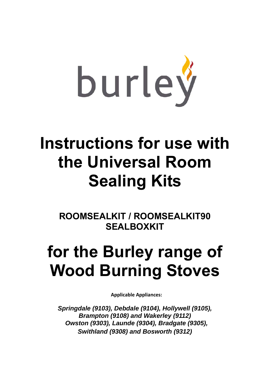

## **Instructions for use with the Universal Room Sealing Kits**

**ROOMSEALKIT / ROOMSEALKIT90 SEALBOXKIT** 

## **for the Burley range of Wood Burning Stoves**

**Applicable Appliances:** 

*Springdale (9103), Debdale (9104), Hollywell (9105), Brampton (9108) and Wakerley (9112) Owston (9303), Launde (9304), Bradgate (9305), Swithland (9308) and Bosworth (9312)*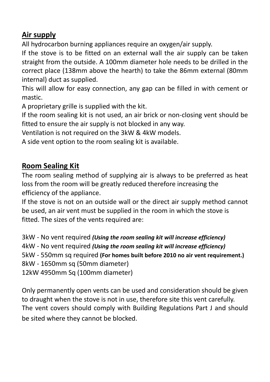#### **Air supply**

All hydrocarbon burning appliances require an oxygen/air supply.

If the stove is to be fitted on an external wall the air supply can be taken straight from the outside. A 100mm diameter hole needs to be drilled in the correct place (138mm above the hearth) to take the 86mm external (80mm internal) duct as supplied.

This will allow for easy connection, any gap can be filled in with cement or mastic.

A proprietary grille is supplied with the kit.

If the room sealing kit is not used, an air brick or non‐closing vent should be fitted to ensure the air supply is not blocked in any way.

Ventilation is not required on the 3kW & 4kW models.

A side vent option to the room sealing kit is available.

#### **Room Sealing Kit**

The room sealing method of supplying air is always to be preferred as heat loss from the room will be greatly reduced therefore increasing the efficiency of the appliance.

If the stove is not on an outside wall or the direct air supply method cannot be used, an air vent must be supplied in the room in which the stove is fitted. The sizes of the vents required are:

3kW ‐ No vent required *(Using the room sealing kit will increase efficiency)* 4kW ‐ No vent required *(Using the room sealing kit will increase efficiency)* 5kW ‐ 550mm sq required **(For homes built before 2010 no air vent requirement.)** 8kW ‐ 1650mm sq (50mm diameter) 12kW 4950mm Sq (100mm diameter)

Only permanently open vents can be used and consideration should be given to draught when the stove is not in use, therefore site this vent carefully. The vent covers should comply with Building Regulations Part J and should be sited where they cannot be blocked.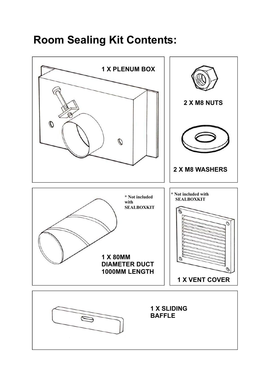### **Room Sealing Kit Contents:**

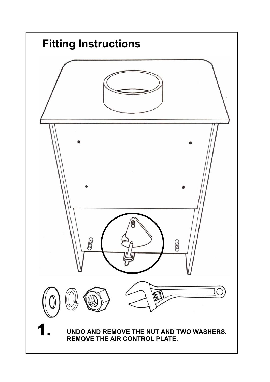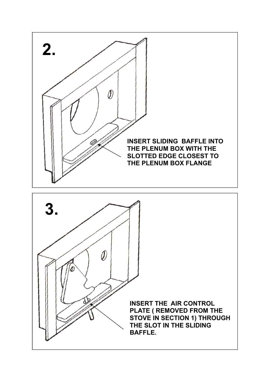

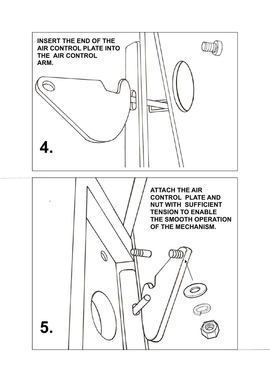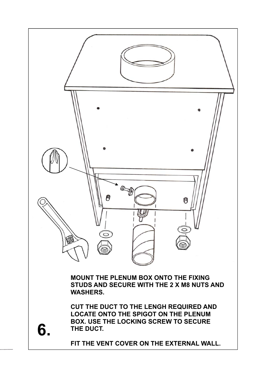